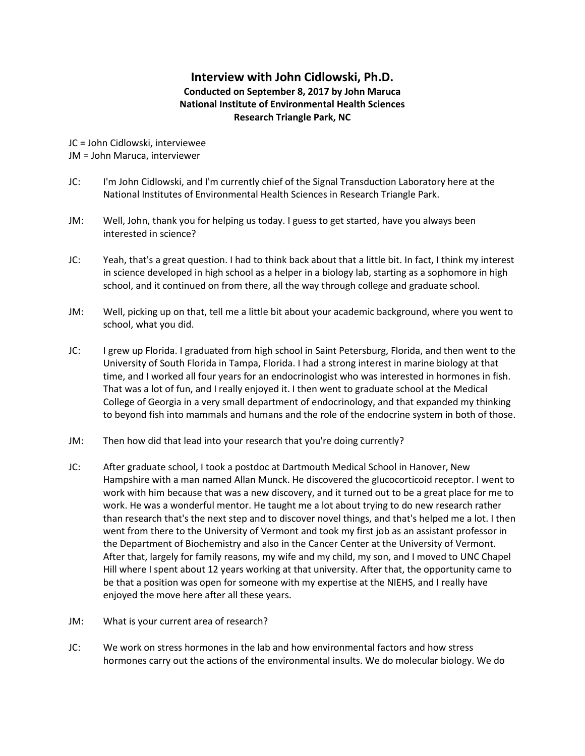## **Interview with John Cidlowski, Ph.D. Conducted on September 8, 2017 by John Maruca National Institute of Environmental Health Sciences Research Triangle Park, NC**

JC = John Cidlowski, interviewee JM = John Maruca, interviewer

- JC: I'm John Cidlowski, and I'm currently chief of the Signal Transduction Laboratory here at the National Institutes of Environmental Health Sciences in Research Triangle Park.
- JM: Well, John, thank you for helping us today. I guess to get started, have you always been interested in science?
- JC: Yeah, that's a great question. I had to think back about that a little bit. In fact, I think my interest in science developed in high school as a helper in a biology lab, starting as a sophomore in high school, and it continued on from there, all the way through college and graduate school.
- JM: Well, picking up on that, tell me a little bit about your academic background, where you went to school, what you did.
- JC: I grew up Florida. I graduated from high school in Saint Petersburg, Florida, and then went to the University of South Florida in Tampa, Florida. I had a strong interest in marine biology at that time, and I worked all four years for an endocrinologist who was interested in hormones in fish. That was a lot of fun, and I really enjoyed it. I then went to graduate school at the Medical College of Georgia in a very small department of endocrinology, and that expanded my thinking to beyond fish into mammals and humans and the role of the endocrine system in both of those.
- JM: Then how did that lead into your research that you're doing currently?
- JC: After graduate school, I took a postdoc at Dartmouth Medical School in Hanover, New Hampshire with a man named Allan Munck. He discovered the glucocorticoid receptor. I went to work with him because that was a new discovery, and it turned out to be a great place for me to work. He was a wonderful mentor. He taught me a lot about trying to do new research rather than research that's the next step and to discover novel things, and that's helped me a lot. I then went from there to the University of Vermont and took my first job as an assistant professor in the Department of Biochemistry and also in the Cancer Center at the University of Vermont. After that, largely for family reasons, my wife and my child, my son, and I moved to UNC Chapel Hill where I spent about 12 years working at that university. After that, the opportunity came to be that a position was open for someone with my expertise at the NIEHS, and I really have enjoyed the move here after all these years.
- JM: What is your current area of research?
- JC: We work on stress hormones in the lab and how environmental factors and how stress hormones carry out the actions of the environmental insults. We do molecular biology. We do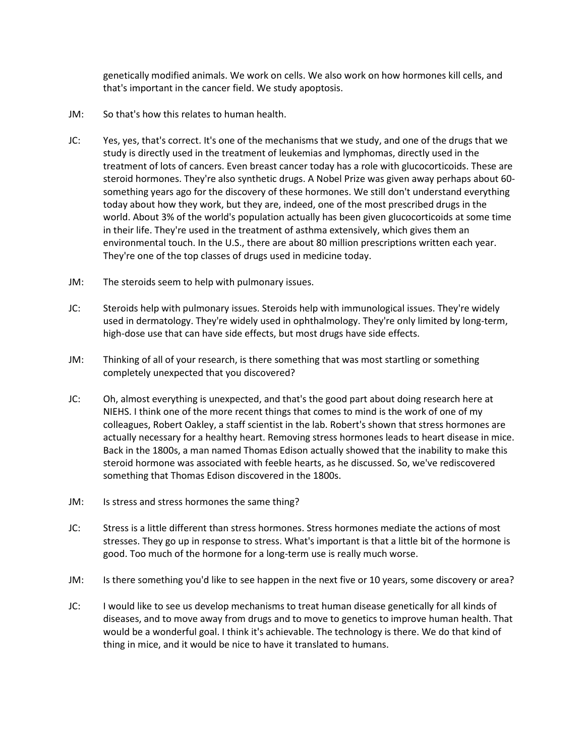genetically modified animals. We work on cells. We also work on how hormones kill cells, and that's important in the cancer field. We study apoptosis.

- JM: So that's how this relates to human health.
- JC: Yes, yes, that's correct. It's one of the mechanisms that we study, and one of the drugs that we study is directly used in the treatment of leukemias and lymphomas, directly used in the treatment of lots of cancers. Even breast cancer today has a role with glucocorticoids. These are steroid hormones. They're also synthetic drugs. A Nobel Prize was given away perhaps about 60 something years ago for the discovery of these hormones. We still don't understand everything today about how they work, but they are, indeed, one of the most prescribed drugs in the world. About 3% of the world's population actually has been given glucocorticoids at some time in their life. They're used in the treatment of asthma extensively, which gives them an environmental touch. In the U.S., there are about 80 million prescriptions written each year. They're one of the top classes of drugs used in medicine today.
- JM: The steroids seem to help with pulmonary issues.
- JC: Steroids help with pulmonary issues. Steroids help with immunological issues. They're widely used in dermatology. They're widely used in ophthalmology. They're only limited by long-term, high-dose use that can have side effects, but most drugs have side effects.
- JM: Thinking of all of your research, is there something that was most startling or something completely unexpected that you discovered?
- JC: Oh, almost everything is unexpected, and that's the good part about doing research here at NIEHS. I think one of the more recent things that comes to mind is the work of one of my colleagues, Robert Oakley, a staff scientist in the lab. Robert's shown that stress hormones are actually necessary for a healthy heart. Removing stress hormones leads to heart disease in mice. Back in the 1800s, a man named Thomas Edison actually showed that the inability to make this steroid hormone was associated with feeble hearts, as he discussed. So, we've rediscovered something that Thomas Edison discovered in the 1800s.
- JM: Is stress and stress hormones the same thing?
- JC: Stress is a little different than stress hormones. Stress hormones mediate the actions of most stresses. They go up in response to stress. What's important is that a little bit of the hormone is good. Too much of the hormone for a long-term use is really much worse.
- JM: Is there something you'd like to see happen in the next five or 10 years, some discovery or area?
- JC: I would like to see us develop mechanisms to treat human disease genetically for all kinds of diseases, and to move away from drugs and to move to genetics to improve human health. That would be a wonderful goal. I think it's achievable. The technology is there. We do that kind of thing in mice, and it would be nice to have it translated to humans.